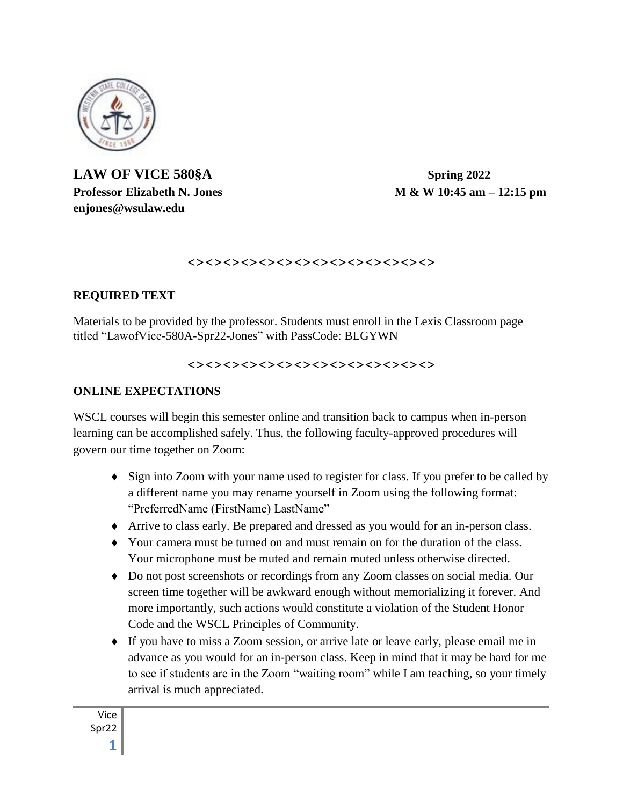

# **LAW OF VICE 580§A Spring 2022 enjones@wsulaw.edu**

**Professor Elizabeth N. Jones M & W 10:45 am – 12:15 pm**

#### <><><><><><><><><><><><><><>

#### **REQUIRED TEXT**

Materials to be provided by the professor. Students must enroll in the Lexis Classroom page titled "LawofVice-580A-Spr22-Jones" with PassCode: BLGYWN

#### <><><><><><><><><><><><><><>

#### **ONLINE EXPECTATIONS**

WSCL courses will begin this semester online and transition back to campus when in-person learning can be accomplished safely. Thus, the following faculty-approved procedures will govern our time together on Zoom:

- Sign into Zoom with your name used to register for class. If you prefer to be called by a different name you may rename yourself in Zoom using the following format: "PreferredName (FirstName) LastName"
- Arrive to class early. Be prepared and dressed as you would for an in-person class.
- Your camera must be turned on and must remain on for the duration of the class. Your microphone must be muted and remain muted unless otherwise directed.
- Do not post screenshots or recordings from any Zoom classes on social media. Our screen time together will be awkward enough without memorializing it forever. And more importantly, such actions would constitute a violation of the Student Honor Code and the WSCL Principles of Community.
- If you have to miss a Zoom session, or arrive late or leave early, please email me in advance as you would for an in-person class. Keep in mind that it may be hard for me to see if students are in the Zoom "waiting room" while I am teaching, so your timely arrival is much appreciated.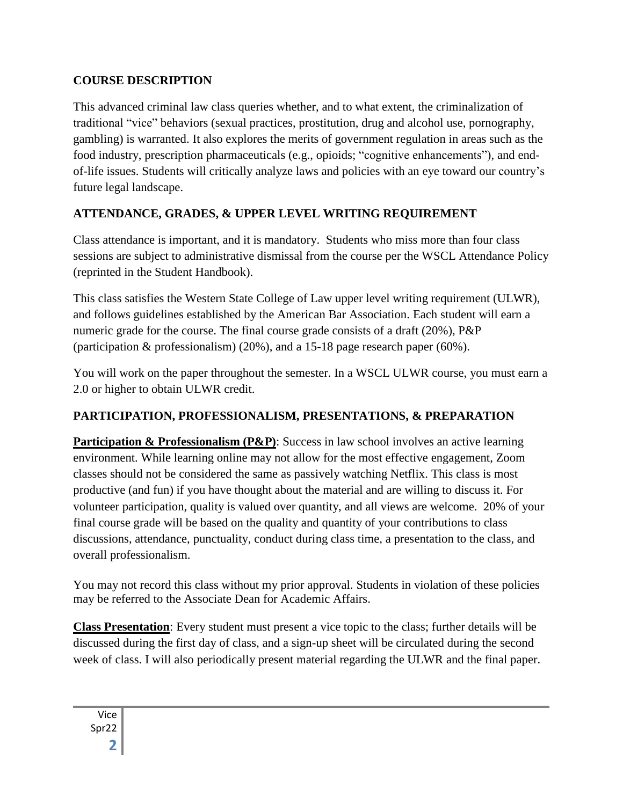## **COURSE DESCRIPTION**

This advanced criminal law class queries whether, and to what extent, the criminalization of traditional "vice" behaviors (sexual practices, prostitution, drug and alcohol use, pornography, gambling) is warranted. It also explores the merits of government regulation in areas such as the food industry, prescription pharmaceuticals (e.g., opioids; "cognitive enhancements"), and endof-life issues. Students will critically analyze laws and policies with an eye toward our country's future legal landscape.

## **ATTENDANCE, GRADES, & UPPER LEVEL WRITING REQUIREMENT**

Class attendance is important, and it is mandatory. Students who miss more than four class sessions are subject to administrative dismissal from the course per the WSCL Attendance Policy (reprinted in the Student Handbook).

This class satisfies the Western State College of Law upper level writing requirement (ULWR), and follows guidelines established by the American Bar Association. Each student will earn a numeric grade for the course. The final course grade consists of a draft (20%), P&P (participation & professionalism) (20%), and a 15-18 page research paper (60%).

You will work on the paper throughout the semester. In a WSCL ULWR course, you must earn a 2.0 or higher to obtain ULWR credit.

## **PARTICIPATION, PROFESSIONALISM, PRESENTATIONS, & PREPARATION**

**Participation & Professionalism (P&P)**: Success in law school involves an active learning environment. While learning online may not allow for the most effective engagement, Zoom classes should not be considered the same as passively watching Netflix. This class is most productive (and fun) if you have thought about the material and are willing to discuss it. For volunteer participation, quality is valued over quantity, and all views are welcome. 20% of your final course grade will be based on the quality and quantity of your contributions to class discussions, attendance, punctuality, conduct during class time, a presentation to the class, and overall professionalism.

You may not record this class without my prior approval. Students in violation of these policies may be referred to the Associate Dean for Academic Affairs.

**Class Presentation**: Every student must present a vice topic to the class; further details will be discussed during the first day of class, and a sign-up sheet will be circulated during the second week of class. I will also periodically present material regarding the ULWR and the final paper.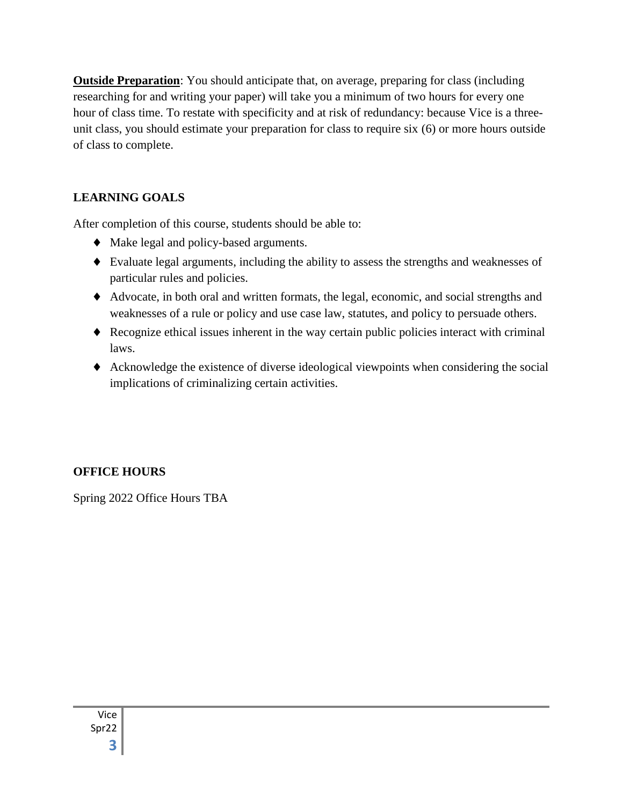**Outside Preparation**: You should anticipate that, on average, preparing for class (including researching for and writing your paper) will take you a minimum of two hours for every one hour of class time. To restate with specificity and at risk of redundancy: because Vice is a threeunit class, you should estimate your preparation for class to require six (6) or more hours outside of class to complete.

## **LEARNING GOALS**

After completion of this course, students should be able to:

- Make legal and policy-based arguments.
- Evaluate legal arguments, including the ability to assess the strengths and weaknesses of particular rules and policies.
- Advocate, in both oral and written formats, the legal, economic, and social strengths and weaknesses of a rule or policy and use case law, statutes, and policy to persuade others.
- Recognize ethical issues inherent in the way certain public policies interact with criminal laws.
- Acknowledge the existence of diverse ideological viewpoints when considering the social implications of criminalizing certain activities.

## **OFFICE HOURS**

Spring 2022 Office Hours TBA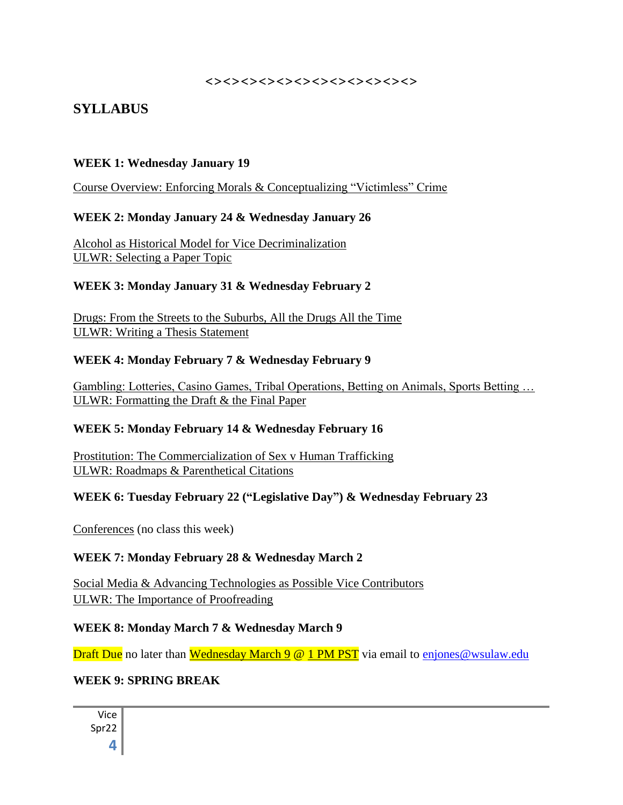#### <><><><><><><><><><><><>

# **SYLLABUS**

#### **WEEK 1: Wednesday January 19**

Course Overview: Enforcing Morals & Conceptualizing "Victimless" Crime

#### **WEEK 2: Monday January 24 & Wednesday January 26**

Alcohol as Historical Model for Vice Decriminalization ULWR: Selecting a Paper Topic

#### **WEEK 3: Monday January 31 & Wednesday February 2**

Drugs: From the Streets to the Suburbs, All the Drugs All the Time ULWR: Writing a Thesis Statement

#### **WEEK 4: Monday February 7 & Wednesday February 9**

Gambling: Lotteries, Casino Games, Tribal Operations, Betting on Animals, Sports Betting … ULWR: Formatting the Draft & the Final Paper

#### **WEEK 5: Monday February 14 & Wednesday February 16**

Prostitution: The Commercialization of Sex v Human Trafficking ULWR: Roadmaps & Parenthetical Citations

#### **WEEK 6: Tuesday February 22 ("Legislative Day") & Wednesday February 23**

Conferences (no class this week)

#### **WEEK 7: Monday February 28 & Wednesday March 2**

Social Media & Advancing Technologies as Possible Vice Contributors ULWR: The Importance of Proofreading

#### **WEEK 8: Monday March 7 & Wednesday March 9**

**Draft Due** no later than Wednesday March 9 @ 1 PM PST via email to [enjones@wsulaw.edu](mailto:enjones@wsulaw.edu)

#### **WEEK 9: SPRING BREAK**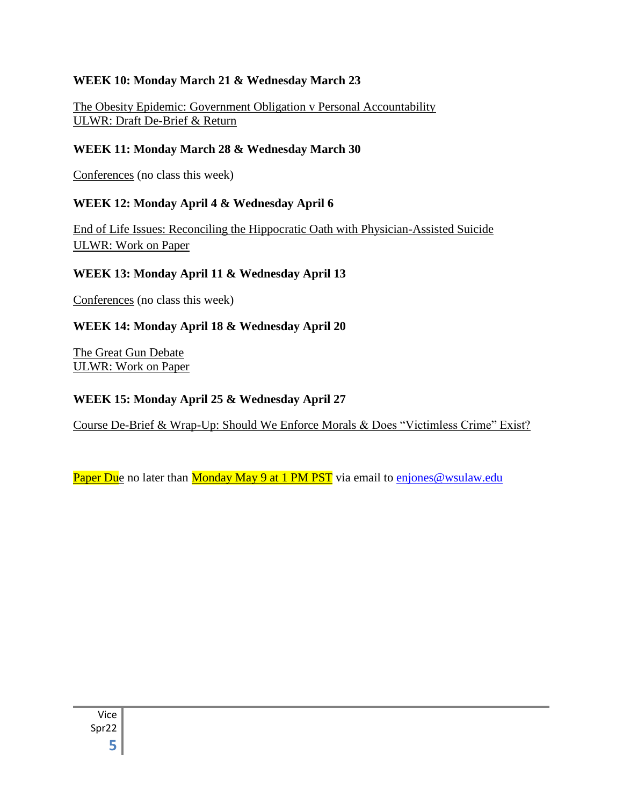### **WEEK 10: Monday March 21 & Wednesday March 23**

The Obesity Epidemic: Government Obligation v Personal Accountability ULWR: Draft De-Brief & Return

### **WEEK 11: Monday March 28 & Wednesday March 30**

Conferences (no class this week)

### **WEEK 12: Monday April 4 & Wednesday April 6**

End of Life Issues: Reconciling the Hippocratic Oath with Physician-Assisted Suicide ULWR: Work on Paper

#### **WEEK 13: Monday April 11 & Wednesday April 13**

Conferences (no class this week)

## **WEEK 14: Monday April 18 & Wednesday April 20**

The Great Gun Debate ULWR: Work on Paper

#### **WEEK 15: Monday April 25 & Wednesday April 27**

Course De-Brief & Wrap-Up: Should We Enforce Morals & Does "Victimless Crime" Exist?

Paper Due no later than Monday May 9 at 1 PM PST via email to [enjones@wsulaw.edu](mailto:enjones@wsulaw.edu)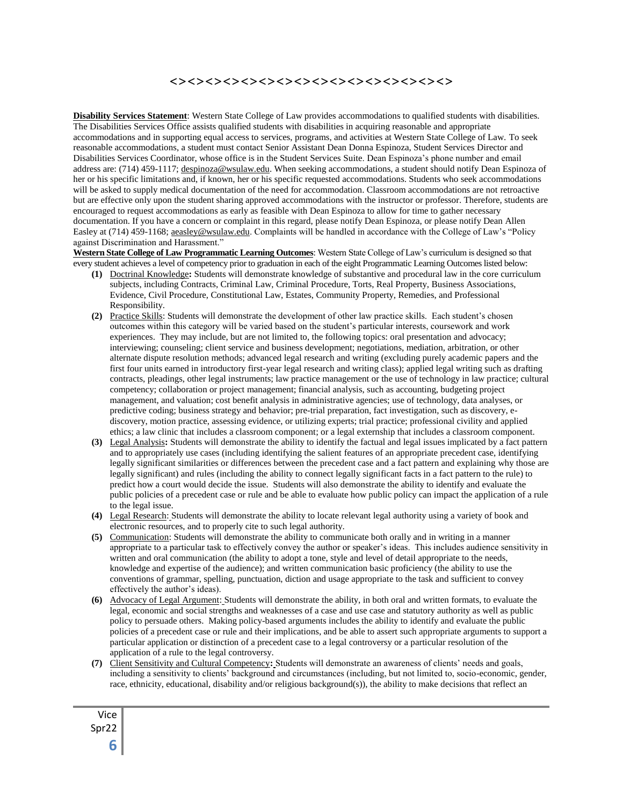#### <><><><><><><><><><><><><><><><>

**Disability Services Statement**: Western State College of Law provides accommodations to qualified students with disabilities. The Disabilities Services Office assists qualified students with disabilities in acquiring reasonable and appropriate accommodations and in supporting equal access to services, programs, and activities at Western State College of Law. To seek reasonable accommodations, a student must contact Senior Assistant Dean Donna Espinoza, Student Services Director and Disabilities Services Coordinator, whose office is in the Student Services Suite. Dean Espinoza's phone number and email address are: (714) 459-1117; [despinoza@wsulaw.edu.](mailto:despinoza@wsulaw.edu) When seeking accommodations, a student should notify Dean Espinoza of her or his specific limitations and, if known, her or his specific requested accommodations. Students who seek accommodations will be asked to supply medical documentation of the need for accommodation. Classroom accommodations are not retroactive but are effective only upon the student sharing approved accommodations with the instructor or professor. Therefore, students are encouraged to request accommodations as early as feasible with Dean Espinoza to allow for time to gather necessary documentation. If you have a concern or complaint in this regard, please notify Dean Espinoza, or please notify Dean Allen Easley at (714) 459-1168; aeasley@wsulaw.edu. Complaints will be handled in accordance with the College of Law's "Policy against Discrimination and Harassment."

**Western State College of Law Programmatic Learning Outcomes**: Western State College of Law's curriculum is designed so that every student achieves a level of competency prior to graduation in each of the eight Programmatic Learning Outcomes listed below:

- **(1)** Doctrinal Knowledge**:** Students will demonstrate knowledge of substantive and procedural law in the core curriculum subjects, including Contracts, Criminal Law, Criminal Procedure, Torts, Real Property, Business Associations, Evidence, Civil Procedure, Constitutional Law, Estates, Community Property, Remedies, and Professional Responsibility.
- **(2)** Practice Skills: Students will demonstrate the development of other law practice skills. Each student's chosen outcomes within this category will be varied based on the student's particular interests, coursework and work experiences. They may include, but are not limited to, the following topics: oral presentation and advocacy; interviewing; counseling; client service and business development; negotiations, mediation, arbitration, or other alternate dispute resolution methods; advanced legal research and writing (excluding purely academic papers and the first four units earned in introductory first-year legal research and writing class); applied legal writing such as drafting contracts, pleadings, other legal instruments; law practice management or the use of technology in law practice; cultural competency; collaboration or project management; financial analysis, such as accounting, budgeting project management, and valuation; cost benefit analysis in administrative agencies; use of technology, data analyses, or predictive coding; business strategy and behavior; pre-trial preparation, fact investigation, such as discovery, ediscovery, motion practice, assessing evidence, or utilizing experts; trial practice; professional civility and applied ethics; a law clinic that includes a classroom component; or a legal externship that includes a classroom component.
- **(3)** Legal Analysis**:** Students will demonstrate the ability to identify the factual and legal issues implicated by a fact pattern and to appropriately use cases (including identifying the salient features of an appropriate precedent case, identifying legally significant similarities or differences between the precedent case and a fact pattern and explaining why those are legally significant) and rules (including the ability to connect legally significant facts in a fact pattern to the rule) to predict how a court would decide the issue. Students will also demonstrate the ability to identify and evaluate the public policies of a precedent case or rule and be able to evaluate how public policy can impact the application of a rule to the legal issue.
- **(4)** Legal Research: Students will demonstrate the ability to locate relevant legal authority using a variety of book and electronic resources, and to properly cite to such legal authority.
- **(5)** Communication: Students will demonstrate the ability to communicate both orally and in writing in a manner appropriate to a particular task to effectively convey the author or speaker's ideas. This includes audience sensitivity in written and oral communication (the ability to adopt a tone, style and level of detail appropriate to the needs, knowledge and expertise of the audience); and written communication basic proficiency (the ability to use the conventions of grammar, spelling, punctuation, diction and usage appropriate to the task and sufficient to convey effectively the author's ideas).
- **(6)** Advocacy of Legal Argument: Students will demonstrate the ability, in both oral and written formats, to evaluate the legal, economic and social strengths and weaknesses of a case and use case and statutory authority as well as public policy to persuade others. Making policy-based arguments includes the ability to identify and evaluate the public policies of a precedent case or rule and their implications, and be able to assert such appropriate arguments to support a particular application or distinction of a precedent case to a legal controversy or a particular resolution of the application of a rule to the legal controversy.
- **(7)** Client Sensitivity and Cultural Competency**:** Students will demonstrate an awareness of clients' needs and goals, including a sensitivity to clients' background and circumstances (including, but not limited to, socio-economic, gender, race, ethnicity, educational, disability and/or religious background(s)), the ability to make decisions that reflect an